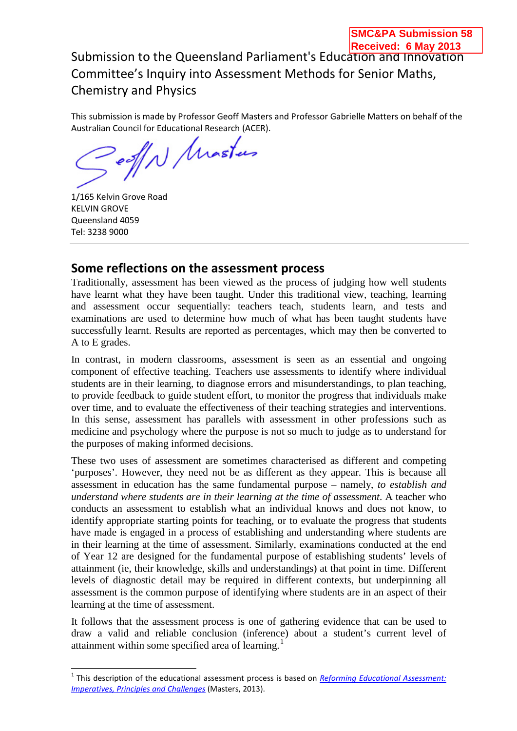**SMC&PA Submission 58** 

This submission is made by Professor Geoff Masters and Professor Gabrielle Matters on behalf of the

Australian Council for Educational Research (ACER).<br>
Collectional Research (ACER).

1/165 Kelvin Grove Road KELVIN GROVE Queensland 4059 Tel: 3238 9000

## **Some reflections on the assessment process**

Traditionally, assessment has been viewed as the process of judging how well students have learnt what they have been taught. Under this traditional view, teaching, learning and assessment occur sequentially: teachers teach, students learn, and tests and examinations are used to determine how much of what has been taught students have successfully learnt. Results are reported as percentages, which may then be converted to A to E grades.

In contrast, in modern classrooms, assessment is seen as an essential and ongoing component of effective teaching. Teachers use assessments to identify where individual students are in their learning, to diagnose errors and misunderstandings, to plan teaching, to provide feedback to guide student effort, to monitor the progress that individuals make over time, and to evaluate the effectiveness of their teaching strategies and interventions. In this sense, assessment has parallels with assessment in other professions such as medicine and psychology where the purpose is not so much to judge as to understand for the purposes of making informed decisions.

These two uses of assessment are sometimes characterised as different and competing 'purposes'. However, they need not be as different as they appear. This is because all assessment in education has the same fundamental purpose – namely, *to establish and understand where students are in their learning at the time of assessment*. A teacher who conducts an assessment to establish what an individual knows and does not know, to identify appropriate starting points for teaching, or to evaluate the progress that students have made is engaged in a process of establishing and understanding where students are in their learning at the time of assessment. Similarly, examinations conducted at the end of Year 12 are designed for the fundamental purpose of establishing students' levels of attainment (ie, their knowledge, skills and understandings) at that point in time. Different levels of diagnostic detail may be required in different contexts, but underpinning all assessment is the common purpose of identifying where students are in an aspect of their learning at the time of assessment.

It follows that the assessment process is one of gathering evidence that can be used to draw a valid and reliable conclusion (inference) about a student's current level of attainment within some specified area of learning.<sup>[1](#page-0-0)</sup>

<span id="page-0-0"></span><sup>1</sup> This description of the educational assessment process is based on *[Reforming Educational Assessment:](http://research.acer.edu.au/cgi/viewcontent.cgi?article=1021&context=aer)  [Imperatives, Principles and Challenges](http://research.acer.edu.au/cgi/viewcontent.cgi?article=1021&context=aer)* (Masters, 2013).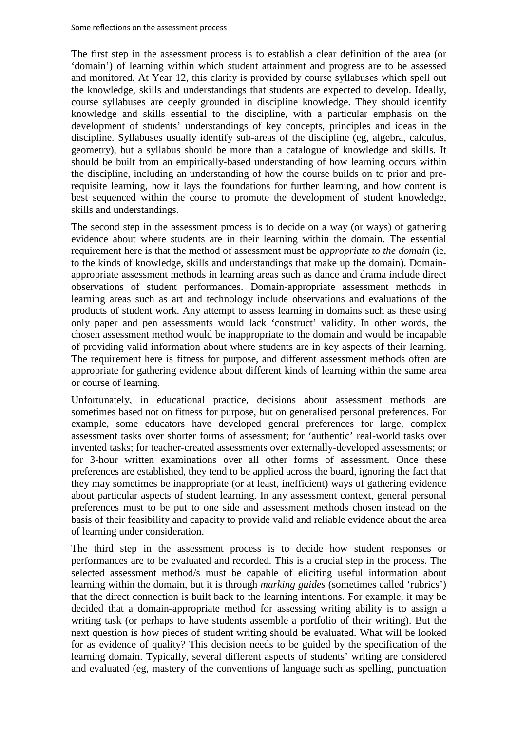The first step in the assessment process is to establish a clear definition of the area (or 'domain') of learning within which student attainment and progress are to be assessed and monitored. At Year 12, this clarity is provided by course syllabuses which spell out the knowledge, skills and understandings that students are expected to develop. Ideally, course syllabuses are deeply grounded in discipline knowledge. They should identify knowledge and skills essential to the discipline, with a particular emphasis on the development of students' understandings of key concepts, principles and ideas in the discipline. Syllabuses usually identify sub-areas of the discipline (eg, algebra, calculus, geometry), but a syllabus should be more than a catalogue of knowledge and skills. It should be built from an empirically-based understanding of how learning occurs within the discipline, including an understanding of how the course builds on to prior and prerequisite learning, how it lays the foundations for further learning, and how content is best sequenced within the course to promote the development of student knowledge, skills and understandings.

The second step in the assessment process is to decide on a way (or ways) of gathering evidence about where students are in their learning within the domain. The essential requirement here is that the method of assessment must be *appropriate to the domain* (ie, to the kinds of knowledge, skills and understandings that make up the domain). Domainappropriate assessment methods in learning areas such as dance and drama include direct observations of student performances. Domain-appropriate assessment methods in learning areas such as art and technology include observations and evaluations of the products of student work. Any attempt to assess learning in domains such as these using only paper and pen assessments would lack 'construct' validity. In other words, the chosen assessment method would be inappropriate to the domain and would be incapable of providing valid information about where students are in key aspects of their learning. The requirement here is fitness for purpose, and different assessment methods often are appropriate for gathering evidence about different kinds of learning within the same area or course of learning.

Unfortunately, in educational practice, decisions about assessment methods are sometimes based not on fitness for purpose, but on generalised personal preferences. For example, some educators have developed general preferences for large, complex assessment tasks over shorter forms of assessment; for 'authentic' real-world tasks over invented tasks; for teacher-created assessments over externally-developed assessments; or for 3-hour written examinations over all other forms of assessment. Once these preferences are established, they tend to be applied across the board, ignoring the fact that they may sometimes be inappropriate (or at least, inefficient) ways of gathering evidence about particular aspects of student learning. In any assessment context, general personal preferences must to be put to one side and assessment methods chosen instead on the basis of their feasibility and capacity to provide valid and reliable evidence about the area of learning under consideration.

The third step in the assessment process is to decide how student responses or performances are to be evaluated and recorded. This is a crucial step in the process. The selected assessment method/s must be capable of eliciting useful information about learning within the domain, but it is through *marking guides* (sometimes called 'rubrics') that the direct connection is built back to the learning intentions. For example, it may be decided that a domain-appropriate method for assessing writing ability is to assign a writing task (or perhaps to have students assemble a portfolio of their writing). But the next question is how pieces of student writing should be evaluated. What will be looked for as evidence of quality? This decision needs to be guided by the specification of the learning domain. Typically, several different aspects of students' writing are considered and evaluated (eg, mastery of the conventions of language such as spelling, punctuation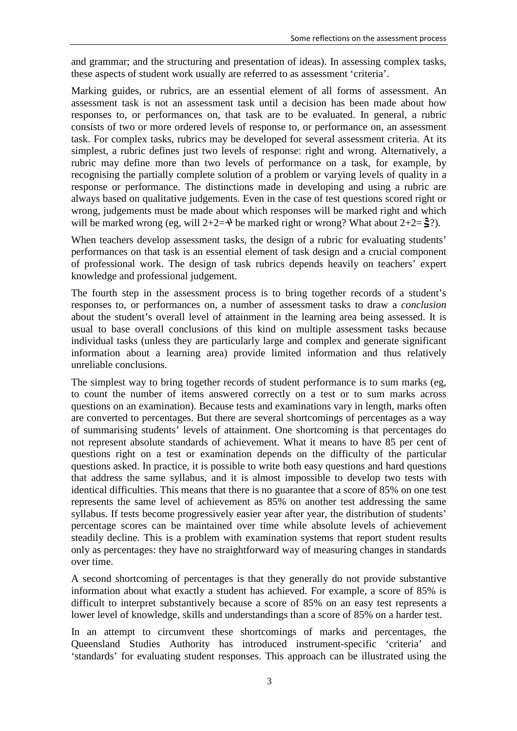and grammar; and the structuring and presentation of ideas). In assessing complex tasks, these aspects of student work usually are referred to as assessment 'criteria'.

Marking guides, or rubrics, are an essential element of all forms of assessment. An assessment task is not an assessment task until a decision has been made about how responses to, or performances on, that task are to be evaluated. In general, a rubric consists of two or more ordered levels of response to, or performance on, an assessment task. For complex tasks, rubrics may be developed for several assessment criteria. At its simplest, a rubric defines just two levels of response: right and wrong. Alternatively, a rubric may define more than two levels of performance on a task, for example, by recognising the partially complete solution of a problem or varying levels of quality in a response or performance. The distinctions made in developing and using a rubric are always based on qualitative judgements. Even in the case of test questions scored right or wrong, judgements must be made about which responses will be marked right and which will be marked wrong (eg, will  $2+2=+$ ) be marked right or wrong? What about  $2+2=\frac{1}{2}$ ?).

When teachers develop assessment tasks, the design of a rubric for evaluating students' performances on that task is an essential element of task design and a crucial component of professional work. The design of task rubrics depends heavily on teachers' expert knowledge and professional judgement.

The fourth step in the assessment process is to bring together records of a student's responses to, or performances on, a number of assessment tasks to draw a *conclusion* about the student's overall level of attainment in the learning area being assessed. It is usual to base overall conclusions of this kind on multiple assessment tasks because individual tasks (unless they are particularly large and complex and generate significant information about a learning area) provide limited information and thus relatively unreliable conclusions.

The simplest way to bring together records of student performance is to sum marks (eg, to count the number of items answered correctly on a test or to sum marks across questions on an examination). Because tests and examinations vary in length, marks often are converted to percentages. But there are several shortcomings of percentages as a way of summarising students' levels of attainment. One shortcoming is that percentages do not represent absolute standards of achievement. What it means to have 85 per cent of questions right on a test or examination depends on the difficulty of the particular questions asked. In practice, it is possible to write both easy questions and hard questions that address the same syllabus, and it is almost impossible to develop two tests with identical difficulties. This means that there is no guarantee that a score of 85% on one test represents the same level of achievement as 85% on another test addressing the same syllabus. If tests become progressively easier year after year, the distribution of students' percentage scores can be maintained over time while absolute levels of achievement steadily decline. This is a problem with examination systems that report student results only as percentages: they have no straightforward way of measuring changes in standards over time.

A second shortcoming of percentages is that they generally do not provide substantive information about what exactly a student has achieved. For example, a score of 85% is difficult to interpret substantively because a score of 85% on an easy test represents a lower level of knowledge, skills and understandings than a score of 85% on a harder test.

In an attempt to circumvent these shortcomings of marks and percentages, the Queensland Studies Authority has introduced instrument-specific 'criteria' and 'standards' for evaluating student responses. This approach can be illustrated using the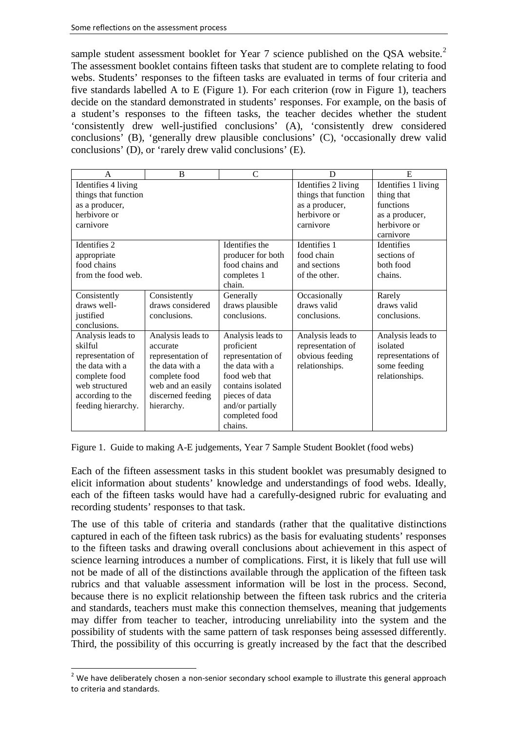sample student assessment booklet for Year 7 science published on the QSA website.<sup>[2](#page-3-0)</sup> The assessment booklet contains fifteen tasks that student are to complete relating to food webs. Students' responses to the fifteen tasks are evaluated in terms of four criteria and five standards labelled A to E (Figure 1). For each criterion (row in Figure 1), teachers decide on the standard demonstrated in students' responses. For example, on the basis of a student's responses to the fifteen tasks, the teacher decides whether the student 'consistently drew well-justified conclusions' (A), 'consistently drew considered conclusions' (B), 'generally drew plausible conclusions' (C), 'occasionally drew valid conclusions' (D), or 'rarely drew valid conclusions' (E).

| A                    | B                 | C                 | D                    | E                   |
|----------------------|-------------------|-------------------|----------------------|---------------------|
| Identifies 4 living  |                   |                   | Identifies 2 living  | Identifies 1 living |
| things that function |                   |                   | things that function | thing that          |
| as a producer,       |                   |                   | as a producer,       | functions           |
| herbivore or         |                   |                   | herbivore or         | as a producer,      |
| carnivore            |                   |                   | carnivore            | herbivore or        |
|                      |                   |                   |                      | carnivore           |
| Identifies 2         |                   | Identifies the    | Identifies 1         | Identifies          |
| appropriate          |                   | producer for both | food chain           | sections of         |
| food chains          |                   | food chains and   | and sections         | both food           |
| from the food web.   |                   | completes 1       | of the other.        | chains.             |
|                      |                   | chain.            |                      |                     |
| Consistently         | Consistently      | Generally         | Occasionally         | Rarely              |
| draws well-          | draws considered  | draws plausible   | draws valid          | draws valid         |
| justified            | conclusions.      | conclusions.      | conclusions.         | conclusions.        |
| conclusions.         |                   |                   |                      |                     |
| Analysis leads to    | Analysis leads to | Analysis leads to | Analysis leads to    | Analysis leads to   |
| skilful              | accurate          | proficient        | representation of    | isolated            |
| representation of    | representation of | representation of | obvious feeding      | representations of  |
| the data with a      | the data with a   | the data with a   | relationships.       | some feeding        |
| complete food        | complete food     | food web that     |                      | relationships.      |
| web structured       | web and an easily | contains isolated |                      |                     |
| according to the     | discerned feeding | pieces of data    |                      |                     |
| feeding hierarchy.   | hierarchy.        | and/or partially  |                      |                     |
|                      |                   | completed food    |                      |                     |
|                      |                   | chains.           |                      |                     |

Figure 1. Guide to making A-E judgements, Year 7 Sample Student Booklet (food webs)

Each of the fifteen assessment tasks in this student booklet was presumably designed to elicit information about students' knowledge and understandings of food webs. Ideally, each of the fifteen tasks would have had a carefully-designed rubric for evaluating and recording students' responses to that task.

The use of this table of criteria and standards (rather that the qualitative distinctions captured in each of the fifteen task rubrics) as the basis for evaluating students' responses to the fifteen tasks and drawing overall conclusions about achievement in this aspect of science learning introduces a number of complications. First, it is likely that full use will not be made of all of the distinctions available through the application of the fifteen task rubrics and that valuable assessment information will be lost in the process. Second, because there is no explicit relationship between the fifteen task rubrics and the criteria and standards, teachers must make this connection themselves, meaning that judgements may differ from teacher to teacher, introducing unreliability into the system and the possibility of students with the same pattern of task responses being assessed differently. Third, the possibility of this occurring is greatly increased by the fact that the described

<span id="page-3-0"></span><sup>&</sup>lt;sup>2</sup> We have deliberately chosen a non-senior secondary school example to illustrate this general approach to criteria and standards.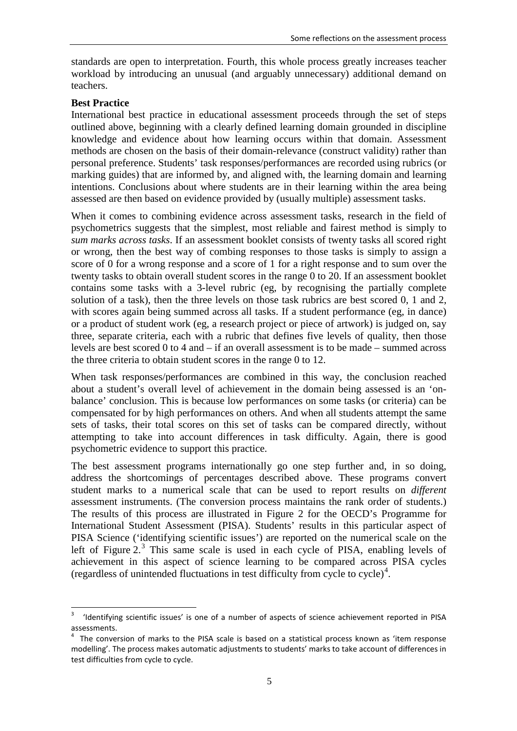standards are open to interpretation. Fourth, this whole process greatly increases teacher workload by introducing an unusual (and arguably unnecessary) additional demand on teachers.

## **Best Practice**

International best practice in educational assessment proceeds through the set of steps outlined above, beginning with a clearly defined learning domain grounded in discipline knowledge and evidence about how learning occurs within that domain. Assessment methods are chosen on the basis of their domain-relevance (construct validity) rather than personal preference. Students' task responses/performances are recorded using rubrics (or marking guides) that are informed by, and aligned with, the learning domain and learning intentions. Conclusions about where students are in their learning within the area being assessed are then based on evidence provided by (usually multiple) assessment tasks.

When it comes to combining evidence across assessment tasks, research in the field of psychometrics suggests that the simplest, most reliable and fairest method is simply to *sum marks across tasks*. If an assessment booklet consists of twenty tasks all scored right or wrong, then the best way of combing responses to those tasks is simply to assign a score of 0 for a wrong response and a score of 1 for a right response and to sum over the twenty tasks to obtain overall student scores in the range 0 to 20. If an assessment booklet contains some tasks with a 3-level rubric (eg, by recognising the partially complete solution of a task), then the three levels on those task rubrics are best scored 0, 1 and 2, with scores again being summed across all tasks. If a student performance (eg, in dance) or a product of student work (eg, a research project or piece of artwork) is judged on, say three, separate criteria, each with a rubric that defines five levels of quality, then those levels are best scored 0 to 4 and – if an overall assessment is to be made – summed across the three criteria to obtain student scores in the range 0 to 12.

When task responses/performances are combined in this way, the conclusion reached about a student's overall level of achievement in the domain being assessed is an 'onbalance' conclusion. This is because low performances on some tasks (or criteria) can be compensated for by high performances on others. And when all students attempt the same sets of tasks, their total scores on this set of tasks can be compared directly, without attempting to take into account differences in task difficulty. Again, there is good psychometric evidence to support this practice.

The best assessment programs internationally go one step further and, in so doing, address the shortcomings of percentages described above. These programs convert student marks to a numerical scale that can be used to report results on *different* assessment instruments. (The conversion process maintains the rank order of students.) The results of this process are illustrated in Figure 2 for the OECD's Programme for International Student Assessment (PISA). Students' results in this particular aspect of PISA Science ('identifying scientific issues') are reported on the numerical scale on the left of Figure 2.<sup>[3](#page-4-0)</sup> This same scale is used in each cycle of PISA, enabling levels of achievement in this aspect of science learning to be compared across PISA cycles (regardless of unintended fluctuations in test difficulty from cycle to cycle) [4](#page-4-1) .

<span id="page-4-0"></span><sup>3</sup> 'Identifying scientific issues' is one of <sup>a</sup> number of aspects of science achievement reported in PISA assessments.

<span id="page-4-1"></span> $4$  The conversion of marks to the PISA scale is based on a statistical process known as 'item response modelling'. The process makes automatic adjustments to students' marks to take account of differences in test difficulties from cycle to cycle.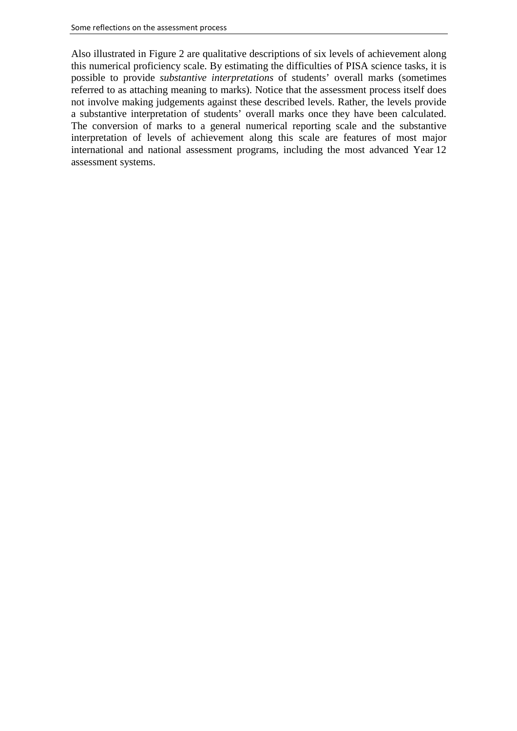Also illustrated in Figure 2 are qualitative descriptions of six levels of achievement along this numerical proficiency scale. By estimating the difficulties of PISA science tasks, it is possible to provide *substantive interpretations* of students' overall marks (sometimes referred to as attaching meaning to marks). Notice that the assessment process itself does not involve making judgements against these described levels. Rather, the levels provide a substantive interpretation of students' overall marks once they have been calculated. The conversion of marks to a general numerical reporting scale and the substantive interpretation of levels of achievement along this scale are features of most major international and national assessment programs, including the most advanced Year 12 assessment systems.